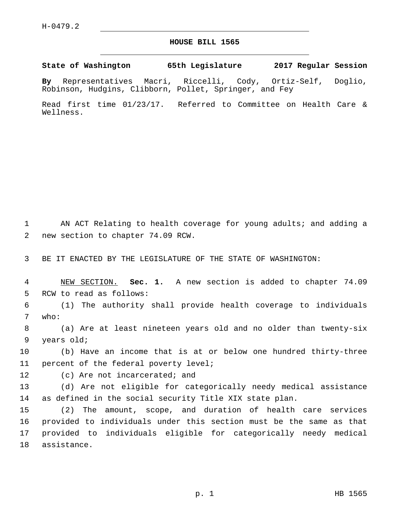## **HOUSE BILL 1565**

**State of Washington 65th Legislature 2017 Regular Session**

**By** Representatives Macri, Riccelli, Cody, Ortiz-Self, Doglio, Robinson, Hudgins, Clibborn, Pollet, Springer, and Fey

Read first time 01/23/17. Referred to Committee on Health Care & Wellness.

1 AN ACT Relating to health coverage for young adults; and adding a 2 new section to chapter 74.09 RCW.

3 BE IT ENACTED BY THE LEGISLATURE OF THE STATE OF WASHINGTON:

4 NEW SECTION. **Sec. 1.** A new section is added to chapter 74.09 5 RCW to read as follows:

6 (1) The authority shall provide health coverage to individuals 7 who:

8 (a) Are at least nineteen years old and no older than twenty-six 9 years old;

10 (b) Have an income that is at or below one hundred thirty-three 11 percent of the federal poverty level;

12 (c) Are not incarcerated; and

13 (d) Are not eligible for categorically needy medical assistance 14 as defined in the social security Title XIX state plan.

 (2) The amount, scope, and duration of health care services provided to individuals under this section must be the same as that provided to individuals eligible for categorically needy medical 18 assistance.